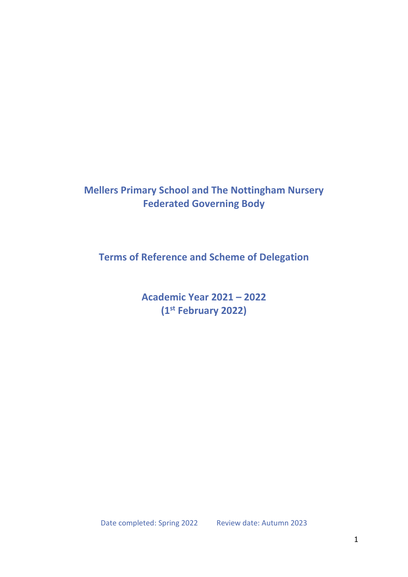# **Mellers Primary School and The Nottingham Nursery Federated Governing Body**

**Terms of Reference and Scheme of Delegation**

**Academic Year 2021 – 2022 (1st February 2022)**

Date completed: Spring 2022 Review date: Autumn 2023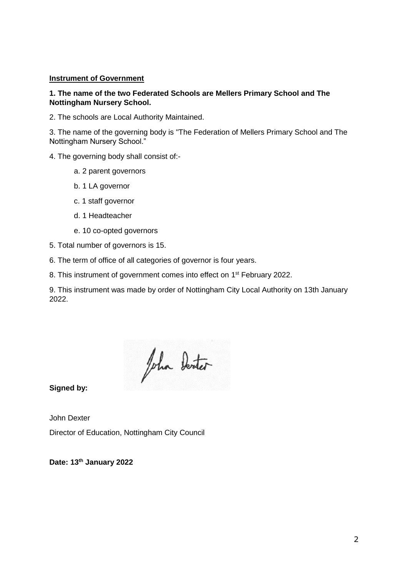### **Instrument of Government**

## **1. The name of the two Federated Schools are Mellers Primary School and The Nottingham Nursery School.**

2. The schools are Local Authority Maintained.

3. The name of the governing body is "The Federation of Mellers Primary School and The Nottingham Nursery School."

- 4. The governing body shall consist of:
	- a. 2 parent governors
	- b. 1 LA governor
	- c. 1 staff governor
	- d. 1 Headteacher
	- e. 10 co-opted governors
- 5. Total number of governors is 15.
- 6. The term of office of all categories of governor is four years.
- 8. This instrument of government comes into effect on 1<sup>st</sup> February 2022.

9. This instrument was made by order of Nottingham City Local Authority on 13th January 2022.

John Denter

**Signed by:**

John Dexter Director of Education, Nottingham City Council

**Date: 13th January 2022**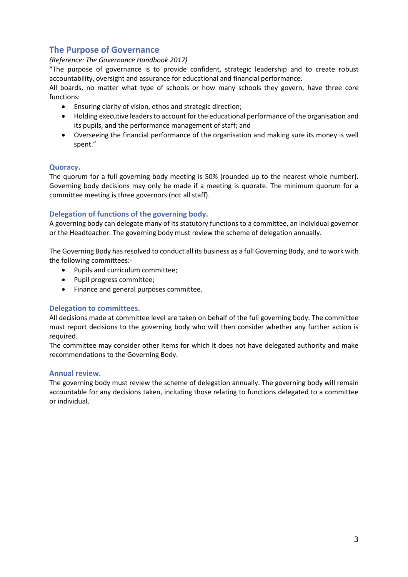# **The Purpose of Governance**

### *(Reference: The Governance Handbook 2017)*

"The purpose of governance is to provide confident, strategic leadership and to create robust accountability, oversight and assurance for educational and financial performance.

All boards, no matter what type of schools or how many schools they govern, have three core functions:

- Ensuring clarity of vision, ethos and strategic direction;
- Holding executive leaders to account for the educational performance of the organisation and its pupils, and the performance management of staff; and
- Overseeing the financial performance of the organisation and making sure its money is well spent."

### **Quoracy.**

The quorum for a full governing body meeting is 50% (rounded up to the nearest whole number). Governing body decisions may only be made if a meeting is quorate. The minimum quorum for a committee meeting is three governors (not all staff).

### **Delegation of functions of the governing body.**

A governing body can delegate many of its statutory functions to a committee, an individual governor or the Headteacher. The governing body must review the scheme of delegation annually.

The Governing Body has resolved to conduct all its business as a full Governing Body, and to work with the following committees:-

- Pupils and curriculum committee;
- Pupil progress committee;
- Finance and general purposes committee.

#### **Delegation to committees.**

All decisions made at committee level are taken on behalf of the full governing body. The committee must report decisions to the governing body who will then consider whether any further action is required.

The committee may consider other items for which it does not have delegated authority and make recommendations to the Governing Body.

#### **Annual review.**

The governing body must review the scheme of delegation annually. The governing body will remain accountable for any decisions taken, including those relating to functions delegated to a committee or individual.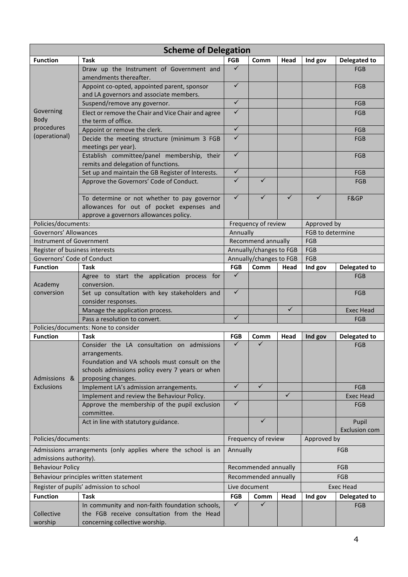| <b>Scheme of Delegation</b>                                  |                                                                                        |                                   |                     |              |                  |                               |
|--------------------------------------------------------------|----------------------------------------------------------------------------------------|-----------------------------------|---------------------|--------------|------------------|-------------------------------|
| <b>Function</b>                                              | <b>Task</b>                                                                            | <b>FGB</b>                        | Comm                | Head         | Ind gov          | <b>Delegated to</b>           |
|                                                              | Draw up the Instrument of Government and<br>amendments thereafter.                     | ✓                                 |                     |              |                  | <b>FGB</b>                    |
|                                                              | Appoint co-opted, appointed parent, sponsor<br>and LA governors and associate members. | $\checkmark$                      |                     |              |                  | <b>FGB</b>                    |
|                                                              | Suspend/remove any governor.                                                           | $\sqrt{}$                         |                     |              |                  | FGB                           |
| Governing                                                    | Elect or remove the Chair and Vice Chair and agree                                     | $\checkmark$                      |                     |              |                  | <b>FGB</b>                    |
| <b>Body</b><br>procedures                                    | the term of office.                                                                    |                                   |                     |              |                  |                               |
| (operational)                                                | Appoint or remove the clerk.                                                           | $\checkmark$                      |                     |              |                  | <b>FGB</b>                    |
|                                                              | Decide the meeting structure (minimum 3 FGB<br>meetings per year).                     | $\checkmark$                      |                     |              |                  | <b>FGB</b>                    |
|                                                              | Establish committee/panel membership, their                                            | ✓                                 |                     |              |                  | <b>FGB</b>                    |
|                                                              | remits and delegation of functions.                                                    |                                   |                     |              |                  |                               |
|                                                              | Set up and maintain the GB Register of Interests.                                      | $\checkmark$                      |                     |              |                  | <b>FGB</b>                    |
|                                                              | Approve the Governors' Code of Conduct.                                                | $\checkmark$                      | $\checkmark$        |              |                  | <b>FGB</b>                    |
|                                                              | To determine or not whether to pay governor                                            | $\checkmark$                      | ✓                   | ✓            | ✓                | F&GP                          |
|                                                              | allowances for out of pocket expenses and                                              |                                   |                     |              |                  |                               |
|                                                              | approve a governors allowances policy.                                                 |                                   |                     |              |                  |                               |
| Policies/documents:                                          |                                                                                        |                                   | Frequency of review |              | Approved by      |                               |
| Governors' Allowances                                        |                                                                                        | Annually                          |                     |              | FGB to determine |                               |
| <b>Instrument of Government</b>                              |                                                                                        | Recommend annually                |                     | FGB          |                  |                               |
| Register of business interests                               |                                                                                        | Annually/changes to FGB           |                     |              | FGB              |                               |
| Governors' Code of Conduct                                   |                                                                                        | Annually/changes to FGB           |                     |              | FGB              |                               |
| <b>Function</b>                                              | <b>Task</b>                                                                            | <b>FGB</b>                        | Comm                | Head         | Ind gov          | <b>Delegated to</b>           |
| Academy<br>conversion                                        | Agree to start the application process for<br>conversion.                              | $\checkmark$                      |                     |              |                  | FGB                           |
|                                                              | Set up consultation with key stakeholders and                                          | $\checkmark$                      |                     |              |                  | <b>FGB</b>                    |
|                                                              | consider responses.                                                                    |                                   |                     |              |                  |                               |
|                                                              | Manage the application process.                                                        |                                   |                     | $\checkmark$ |                  | <b>Exec Head</b>              |
|                                                              | Pass a resolution to convert.                                                          | ✓                                 |                     |              |                  | FGB                           |
| Policies/documents: None to consider                         |                                                                                        |                                   |                     |              |                  |                               |
| <b>Function</b>                                              | <b>Task</b>                                                                            | <b>FGB</b>                        | Comm                | Head         | Ind gov          | <b>Delegated to</b>           |
|                                                              | Consider the LA consultation on admissions                                             | ✓                                 | ✓                   |              |                  | <b>FGB</b>                    |
|                                                              | arrangements.                                                                          |                                   |                     |              |                  |                               |
|                                                              | Foundation and VA schools must consult on the                                          |                                   |                     |              |                  |                               |
|                                                              | schools admissions policy every 7 years or when                                        |                                   |                     |              |                  |                               |
| Admissions &                                                 | proposing changes.                                                                     |                                   |                     |              |                  |                               |
| <b>Exclusions</b>                                            | Implement LA's admission arrangements.                                                 | $\checkmark$                      | $\checkmark$        |              |                  | <b>FGB</b>                    |
|                                                              | Implement and review the Behaviour Policy.                                             |                                   |                     | $\checkmark$ |                  | <b>Exec Head</b>              |
|                                                              | Approve the membership of the pupil exclusion<br>committee.                            | ✓                                 |                     |              |                  | <b>FGB</b>                    |
|                                                              | Act in line with statutory guidance.                                                   |                                   | ✓                   |              |                  | Pupil<br><b>Exclusion com</b> |
| Policies/documents:                                          |                                                                                        | Frequency of review               |                     |              | Approved by      |                               |
| Admissions arrangements (only applies where the school is an |                                                                                        | Annually                          |                     | FGB          |                  |                               |
| admissions authority).                                       |                                                                                        |                                   |                     |              |                  |                               |
| <b>Behaviour Policy</b>                                      |                                                                                        | Recommended annually              |                     | FGB          |                  |                               |
| Behaviour principles written statement                       |                                                                                        | Recommended annually              |                     | <b>FGB</b>   |                  |                               |
| Register of pupils' admission to school                      |                                                                                        | Live document<br><b>Exec Head</b> |                     |              |                  |                               |
| <b>Function</b>                                              | <b>Task</b>                                                                            | <b>FGB</b>                        | Comm                | Head         | Ind gov          | Delegated to                  |
|                                                              | In community and non-faith foundation schools,                                         | $\checkmark$                      | ✓                   |              |                  | FGB                           |
| Collective                                                   | the FGB receive consultation from the Head                                             |                                   |                     |              |                  |                               |
| worship                                                      | concerning collective worship.                                                         |                                   |                     |              |                  |                               |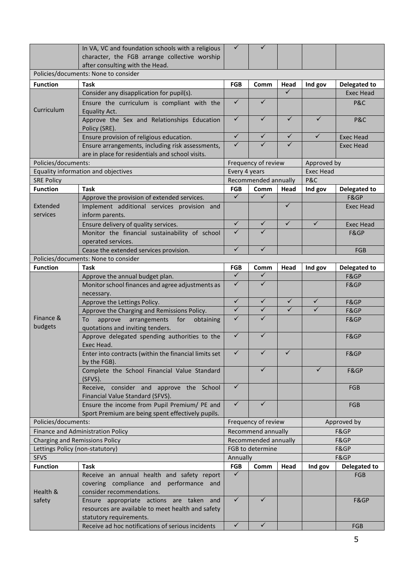|                                       | In VA, VC and foundation schools with a religious<br>character, the FGB arrange collective worship<br>after consulting with the Head. | ✓                    | ✓                       |                  |              |                     |
|---------------------------------------|---------------------------------------------------------------------------------------------------------------------------------------|----------------------|-------------------------|------------------|--------------|---------------------|
|                                       | Policies/documents: None to consider                                                                                                  |                      |                         |                  |              |                     |
| <b>Function</b>                       | <b>Task</b>                                                                                                                           | <b>FGB</b>           | Comm                    | Head             | Ind gov      | <b>Delegated to</b> |
|                                       | Consider any disapplication for pupil(s).                                                                                             |                      |                         | $\checkmark$     |              | <b>Exec Head</b>    |
| Curriculum                            | Ensure the curriculum is compliant with the<br>Equality Act.                                                                          | $\checkmark$         | $\checkmark$            |                  |              | P&C                 |
|                                       | Approve the Sex and Relationships Education<br>Policy (SRE).                                                                          | $\checkmark$         | $\checkmark$            | $\checkmark$     | $\checkmark$ | P&C                 |
|                                       | Ensure provision of religious education.                                                                                              | $\checkmark$         | $\checkmark$            | $\checkmark$     | $\checkmark$ | <b>Exec Head</b>    |
|                                       | Ensure arrangements, including risk assessments,                                                                                      | ✓                    | ✓                       | ✓                |              | <b>Exec Head</b>    |
|                                       | are in place for residentials and school visits.                                                                                      |                      |                         |                  |              |                     |
| Policies/documents:                   |                                                                                                                                       | Frequency of review  |                         | Approved by      |              |                     |
|                                       | Equality information and objectives                                                                                                   | Every 4 years        |                         | <b>Exec Head</b> |              |                     |
| <b>SRE Policy</b>                     |                                                                                                                                       | Recommended annually |                         | P&C              |              |                     |
| <b>Function</b>                       | <b>Task</b>                                                                                                                           | <b>FGB</b>           | Comm                    | Head             | Ind gov      | <b>Delegated to</b> |
|                                       | Approve the provision of extended services.                                                                                           | $\checkmark$         | $\checkmark$            |                  |              | F&GP                |
| Extended<br>services                  | Implement additional services provision and<br>inform parents.                                                                        |                      |                         | $\checkmark$     |              | Exec Head           |
|                                       | Ensure delivery of quality services.                                                                                                  | $\checkmark$         | $\checkmark$            | $\checkmark$     | $\checkmark$ | <b>Exec Head</b>    |
|                                       | Monitor the financial sustainability of school<br>operated services.                                                                  | ✓                    | ✓                       |                  |              | F&GP                |
|                                       | Cease the extended services provision.                                                                                                | $\checkmark$         | $\checkmark$            |                  |              | <b>FGB</b>          |
|                                       | Policies/documents: None to consider                                                                                                  |                      |                         |                  |              |                     |
| <b>Function</b>                       | <b>Task</b>                                                                                                                           | <b>FGB</b>           | Comm                    | Head             | Ind gov      | <b>Delegated to</b> |
|                                       | Approve the annual budget plan.                                                                                                       | $\checkmark$         | ✓                       |                  |              | F&GP                |
|                                       | Monitor school finances and agree adjustments as<br>necessary.                                                                        | $\checkmark$         | ✓                       |                  |              | F&GP                |
|                                       | Approve the Lettings Policy.                                                                                                          | $\checkmark$         | $\checkmark$            | $\checkmark$     | ✓            | F&GP                |
|                                       | Approve the Charging and Remissions Policy.                                                                                           | $\checkmark$         | $\overline{\checkmark}$ | $\checkmark$     | ✓            | F&GP                |
| Finance &                             | arrangements<br>for<br>To<br>approve<br>obtaining                                                                                     | ✓                    | $\checkmark$            |                  |              | F&GP                |
| budgets                               | quotations and inviting tenders.                                                                                                      |                      |                         |                  |              |                     |
|                                       | Approve delegated spending authorities to the<br>Exec Head.                                                                           | ✓                    | $\checkmark$            |                  |              | F&GP                |
|                                       | Enter into contracts (within the financial limits set<br>by the FGB).                                                                 | ✓                    | ✓                       | ✓                |              | F&GP                |
|                                       | Complete the School Financial Value Standard<br>(SFVS).                                                                               |                      | $\checkmark$            |                  | $\checkmark$ | F&GP                |
|                                       | Receive, consider and approve the School<br>Financial Value Standard (SFVS).                                                          | $\checkmark$         |                         |                  |              | <b>FGB</b>          |
|                                       | Ensure the income from Pupil Premium/ PE and<br>Sport Premium are being spent effectively pupils.                                     | $\checkmark$         | ✓                       |                  |              | FGB                 |
| Policies/documents:                   |                                                                                                                                       | Frequency of review  |                         | Approved by      |              |                     |
| Finance and Administration Policy     |                                                                                                                                       | Recommend annually   |                         | F&GP             |              |                     |
| <b>Charging and Remissions Policy</b> |                                                                                                                                       | Recommended annually |                         | F&GP             |              |                     |
| Lettings Policy (non-statutory)       |                                                                                                                                       | FGB to determine     |                         | F&GP             |              |                     |
| <b>SFVS</b>                           |                                                                                                                                       | Annually             |                         |                  |              | F&GP                |
| <b>Function</b>                       | <b>Task</b>                                                                                                                           | FGB                  | Comm                    | Head             | Ind gov      | Delegated to        |
| Health &                              | Receive an annual health and safety report<br>covering compliance and performance and<br>consider recommendations.                    | $\checkmark$         |                         |                  |              | <b>FGB</b>          |
| safety                                | Ensure appropriate actions are taken and<br>resources are available to meet health and safety<br>statutory requirements.              | $\checkmark$         | $\checkmark$            |                  |              | F&GP                |
|                                       | Receive ad hoc notifications of serious incidents                                                                                     | $\checkmark$         | $\checkmark$            |                  |              | <b>FGB</b>          |
|                                       |                                                                                                                                       |                      |                         |                  |              |                     |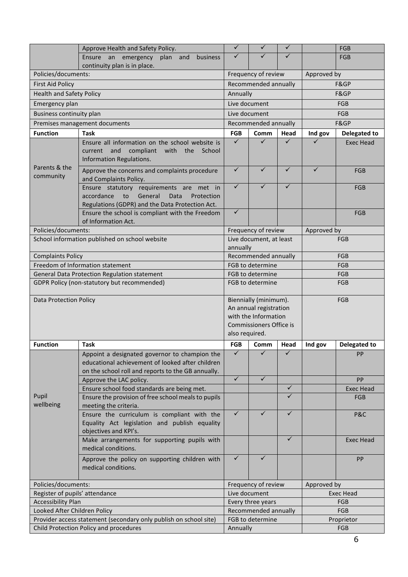|                                                                   | Approve Health and Safety Policy.                                                                                                                       | ✓                                                                                                                           | ✓                    | ✓                 |                  | <b>FGB</b>          |
|-------------------------------------------------------------------|---------------------------------------------------------------------------------------------------------------------------------------------------------|-----------------------------------------------------------------------------------------------------------------------------|----------------------|-------------------|------------------|---------------------|
|                                                                   | Ensure an emergency<br>plan and<br>business<br>continuity plan is in place.                                                                             | ✓                                                                                                                           | ✓                    | ✓                 |                  | FGB                 |
| Policies/documents:                                               |                                                                                                                                                         | Frequency of review                                                                                                         |                      | Approved by       |                  |                     |
| <b>First Aid Policy</b>                                           |                                                                                                                                                         |                                                                                                                             | Recommended annually |                   | F&GP             |                     |
| <b>Health and Safety Policy</b>                                   |                                                                                                                                                         | Annually                                                                                                                    |                      |                   | F&GP             |                     |
| Emergency plan                                                    |                                                                                                                                                         |                                                                                                                             | Live document        |                   | FGB              |                     |
| Business continuity plan                                          |                                                                                                                                                         |                                                                                                                             | Live document        |                   | <b>FGB</b>       |                     |
|                                                                   | Premises management documents                                                                                                                           |                                                                                                                             | Recommended annually |                   | F&GP             |                     |
| <b>Function</b>                                                   | <b>Task</b>                                                                                                                                             | <b>FGB</b>                                                                                                                  | Comm                 | Head              | Ind gov          | <b>Delegated to</b> |
|                                                                   | Ensure all information on the school website is                                                                                                         | $\checkmark$                                                                                                                | ✓                    | ✓                 | ✓                | <b>Exec Head</b>    |
|                                                                   | and<br>compliant<br>with<br>current<br>the<br>School<br>Information Regulations.                                                                        |                                                                                                                             |                      |                   |                  |                     |
| Parents & the<br>community                                        | Approve the concerns and complaints procedure<br>and Complaints Policy.                                                                                 | ✓                                                                                                                           | $\checkmark$         | $\checkmark$      | ✓                | FGB                 |
|                                                                   | Ensure statutory requirements are met in<br>accordance<br>to<br>General<br>Data<br>Protection<br>Regulations (GDPR) and the Data Protection Act.        | $\checkmark$                                                                                                                | ✓                    | ✓                 |                  | FGB                 |
|                                                                   | Ensure the school is compliant with the Freedom<br>of Information Act.                                                                                  | ✓                                                                                                                           |                      |                   |                  | FGB                 |
| Policies/documents:                                               |                                                                                                                                                         |                                                                                                                             | Frequency of review  |                   | Approved by      |                     |
| School information published on school website                    |                                                                                                                                                         | Live document, at least<br>annually                                                                                         |                      |                   | FGB              |                     |
| <b>Complaints Policy</b>                                          |                                                                                                                                                         | Recommended annually                                                                                                        |                      |                   | <b>FGB</b>       |                     |
| Freedom of Information statement                                  |                                                                                                                                                         | FGB to determine                                                                                                            |                      |                   | <b>FGB</b>       |                     |
| General Data Protection Regulation statement                      |                                                                                                                                                         | FGB to determine                                                                                                            |                      |                   | <b>FGB</b>       |                     |
| GDPR Policy (non-statutory but recommended)                       |                                                                                                                                                         | FGB to determine                                                                                                            |                      |                   | FGB              |                     |
| <b>Data Protection Policy</b>                                     |                                                                                                                                                         | Biennially (minimum).<br>An annual registration<br>with the Information<br><b>Commissioners Office is</b><br>also required. |                      |                   |                  | <b>FGB</b>          |
| <b>Function</b>                                                   | <b>Task</b>                                                                                                                                             | <b>FGB</b>                                                                                                                  | Comm                 | Head              | Ind gov          | <b>Delegated to</b> |
|                                                                   | Appoint a designated governor to champion the<br>educational achievement of looked after children<br>on the school roll and reports to the GB annually. | ✓                                                                                                                           |                      |                   |                  | PP                  |
|                                                                   | Approve the LAC policy.                                                                                                                                 | $\checkmark$                                                                                                                | $\checkmark$         |                   |                  | PP                  |
|                                                                   | Ensure school food standards are being met.                                                                                                             |                                                                                                                             |                      | $\checkmark$<br>✓ |                  | <b>Exec Head</b>    |
| Pupil<br>wellbeing                                                | Ensure the provision of free school meals to pupils<br>meeting the criteria.                                                                            |                                                                                                                             |                      |                   |                  | <b>FGB</b>          |
|                                                                   | Ensure the curriculum is compliant with the<br>Equality Act legislation and publish equality<br>objectives and KPI's.                                   | ✓                                                                                                                           | ✓                    | ✓                 |                  | P&C                 |
|                                                                   | Make arrangements for supporting pupils with<br>medical conditions.                                                                                     |                                                                                                                             |                      | $\checkmark$      |                  | <b>Exec Head</b>    |
|                                                                   | Approve the policy on supporting children with<br>medical conditions.                                                                                   | $\checkmark$                                                                                                                | ✓                    |                   |                  | PP                  |
| Policies/documents:                                               |                                                                                                                                                         | Frequency of review                                                                                                         |                      | Approved by       |                  |                     |
| Register of pupils' attendance                                    |                                                                                                                                                         | Live document                                                                                                               |                      |                   | <b>Exec Head</b> |                     |
| <b>Accessibility Plan</b>                                         |                                                                                                                                                         | Every three years                                                                                                           |                      |                   | <b>FGB</b>       |                     |
| Looked After Children Policy                                      |                                                                                                                                                         | Recommended annually                                                                                                        |                      |                   | FGB              |                     |
| Provider access statement (secondary only publish on school site) |                                                                                                                                                         | FGB to determine                                                                                                            |                      |                   | Proprietor       |                     |
| Child Protection Policy and procedures                            |                                                                                                                                                         | Annually                                                                                                                    |                      |                   | FGB              |                     |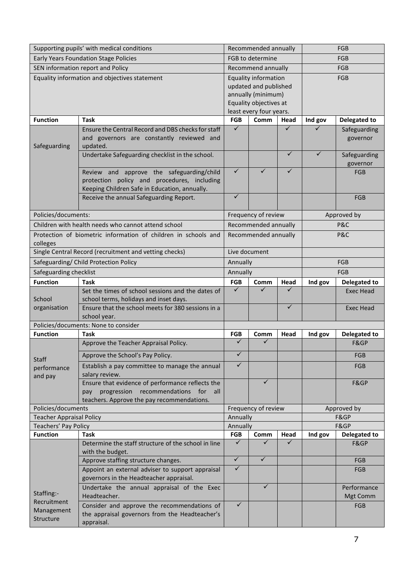| Supporting pupils' with medical conditions           |                                                                                                                                                 | Recommended annually                                                                                                     |                      | <b>FGB</b>   |             |                             |
|------------------------------------------------------|-------------------------------------------------------------------------------------------------------------------------------------------------|--------------------------------------------------------------------------------------------------------------------------|----------------------|--------------|-------------|-----------------------------|
| <b>Early Years Foundation Stage Policies</b>         |                                                                                                                                                 | FGB to determine                                                                                                         |                      | <b>FGB</b>   |             |                             |
| SEN information report and Policy                    |                                                                                                                                                 | Recommend annually                                                                                                       |                      |              | <b>FGB</b>  |                             |
| Equality information and objectives statement        |                                                                                                                                                 | Equality information<br>updated and published<br>annually (minimum)<br>Equality objectives at<br>least every four years. |                      | FGB          |             |                             |
| <b>Function</b>                                      | <b>Task</b>                                                                                                                                     | <b>FGB</b>                                                                                                               | Comm                 | Head         | Ind gov     | <b>Delegated to</b>         |
| Safeguarding                                         | Ensure the Central Record and DBS checks for staff<br>and governors are constantly reviewed and<br>updated.                                     | $\checkmark$                                                                                                             |                      | ✓            |             | Safeguarding<br>governor    |
|                                                      | Undertake Safeguarding checklist in the school.                                                                                                 |                                                                                                                          |                      | $\checkmark$ | ✓           | Safeguarding<br>governor    |
|                                                      | Review and approve the safeguarding/child<br>protection policy and procedures, including<br>Keeping Children Safe in Education, annually.       | $\checkmark$                                                                                                             | ✓                    | ✓            |             | <b>FGB</b>                  |
|                                                      | Receive the annual Safeguarding Report.                                                                                                         | ✓                                                                                                                        |                      |              |             | <b>FGB</b>                  |
| Policies/documents:                                  |                                                                                                                                                 |                                                                                                                          | Frequency of review  |              | Approved by |                             |
|                                                      | Children with health needs who cannot attend school                                                                                             |                                                                                                                          | Recommended annually |              | P&C         |                             |
| colleges                                             | Protection of biometric information of children in schools and                                                                                  | Recommended annually                                                                                                     |                      | P&C          |             |                             |
|                                                      | Single Central Record (recruitment and vetting checks)                                                                                          | Live document                                                                                                            |                      |              |             |                             |
|                                                      | Safeguarding/ Child Protection Policy                                                                                                           | Annually                                                                                                                 |                      |              | FGB         |                             |
| Safeguarding checklist                               |                                                                                                                                                 | Annually                                                                                                                 |                      | FGB          |             |                             |
| <b>Function</b>                                      | <b>Task</b>                                                                                                                                     | <b>FGB</b>                                                                                                               | Comm                 | Head         | Ind gov     | Delegated to                |
| School                                               | Set the times of school sessions and the dates of<br>school terms, holidays and inset days.                                                     | $\checkmark$                                                                                                             | ✓                    | ✓            |             | <b>Exec Head</b>            |
| organisation                                         | Ensure that the school meets for 380 sessions in a<br>school year.                                                                              |                                                                                                                          |                      | $\checkmark$ |             | <b>Exec Head</b>            |
|                                                      | Policies/documents: None to consider                                                                                                            |                                                                                                                          |                      |              |             |                             |
| <b>Function</b>                                      | <b>Task</b>                                                                                                                                     | <b>FGB</b>                                                                                                               | Comm                 | Head         | Ind gov     | <b>Delegated to</b>         |
|                                                      | Approve the Teacher Appraisal Policy.                                                                                                           | ✓                                                                                                                        | ✓                    |              |             | F&GP                        |
| <b>Staff</b>                                         | Approve the School's Pay Policy.                                                                                                                | ✓                                                                                                                        |                      |              |             | FGB                         |
| performance<br>and pay                               | Establish a pay committee to manage the annual<br>salary review.                                                                                | $\checkmark$                                                                                                             |                      |              |             | <b>FGB</b>                  |
|                                                      | Ensure that evidence of performance reflects the<br>progression recommendations for<br>all<br>pay<br>teachers. Approve the pay recommendations. |                                                                                                                          | $\checkmark$         |              |             | F&GP                        |
| Policies/documents                                   |                                                                                                                                                 | Frequency of review                                                                                                      |                      | Approved by  |             |                             |
| <b>Teacher Appraisal Policy</b>                      |                                                                                                                                                 | Annually                                                                                                                 |                      | F&GP         |             |                             |
| Teachers' Pay Policy<br><b>Function</b>              |                                                                                                                                                 | Annually                                                                                                                 |                      |              |             | F&GP                        |
|                                                      | <b>Task</b><br>Determine the staff structure of the school in line                                                                              | <b>FGB</b><br>✓                                                                                                          | Comm<br>✓            | Head<br>✓    | Ind gov     | <b>Delegated to</b><br>F&GP |
|                                                      | with the budget.                                                                                                                                | $\checkmark$                                                                                                             | $\checkmark$         |              |             |                             |
| Staffing:-<br>Recruitment<br>Management<br>Structure | Approve staffing structure changes.                                                                                                             | $\checkmark$                                                                                                             |                      |              |             | <b>FGB</b>                  |
|                                                      | Appoint an external adviser to support appraisal<br>governors in the Headteacher appraisal.                                                     |                                                                                                                          |                      |              |             | <b>FGB</b>                  |
|                                                      | Undertake the annual appraisal of the Exec<br>Headteacher.                                                                                      |                                                                                                                          | $\checkmark$         |              |             | Performance<br>Mgt Comm     |
|                                                      | Consider and approve the recommendations of<br>the appraisal governors from the Headteacher's<br>appraisal.                                     | $\checkmark$                                                                                                             |                      |              |             | FGB                         |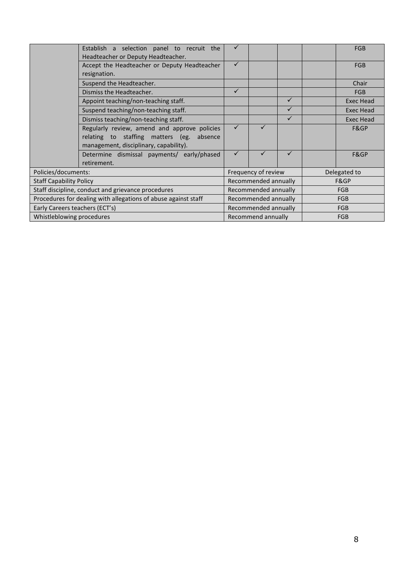|                                                                | Establish a selection panel to recruit the<br>Headteacher or Deputy Headteacher. |                                  |  |              |            | <b>FGB</b>       |
|----------------------------------------------------------------|----------------------------------------------------------------------------------|----------------------------------|--|--------------|------------|------------------|
|                                                                | Accept the Headteacher or Deputy Headteacher<br>resignation.                     | $\checkmark$                     |  |              |            | <b>FGB</b>       |
|                                                                | Suspend the Headteacher.                                                         |                                  |  |              |            | Chair            |
|                                                                | Dismiss the Headteacher.                                                         | ✓                                |  |              |            | <b>FGB</b>       |
|                                                                | Appoint teaching/non-teaching staff.                                             |                                  |  | $\checkmark$ |            | <b>Exec Head</b> |
|                                                                | Suspend teaching/non-teaching staff.                                             |                                  |  | $\checkmark$ |            | Exec Head        |
|                                                                | Dismiss teaching/non-teaching staff.                                             |                                  |  | $\checkmark$ |            | Exec Head        |
|                                                                | Regularly review, amend and approve policies                                     | ✓                                |  |              |            | F&GP             |
|                                                                | relating to staffing matters (eg.<br>absence                                     |                                  |  |              |            |                  |
|                                                                | management, disciplinary, capability).                                           |                                  |  |              |            |                  |
|                                                                | Determine dismissal payments/ early/phased                                       | $\checkmark$                     |  | ✓            |            | F&GP             |
|                                                                | retirement.                                                                      |                                  |  |              |            |                  |
| Policies/documents:                                            |                                                                                  | Frequency of review              |  | Delegated to |            |                  |
| <b>Staff Capability Policy</b>                                 |                                                                                  | Recommended annually             |  | F&GP         |            |                  |
| Staff discipline, conduct and grievance procedures             |                                                                                  | Recommended annually             |  | <b>FGB</b>   |            |                  |
| Procedures for dealing with allegations of abuse against staff |                                                                                  | Recommended annually             |  | <b>FGB</b>   |            |                  |
| Early Careers teachers (ECT's)                                 |                                                                                  | Recommended annually             |  |              | <b>FGB</b> |                  |
| Whistleblowing procedures                                      |                                                                                  | Recommend annually<br><b>FGB</b> |  |              |            |                  |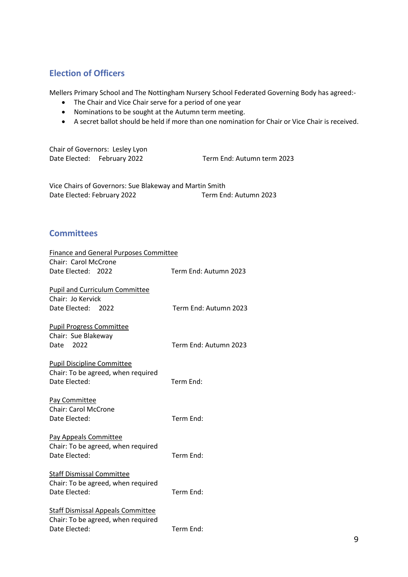# **Election of Officers**

Mellers Primary School and The Nottingham Nursery School Federated Governing Body has agreed:-

- The Chair and Vice Chair serve for a period of one year
- Nominations to be sought at the Autumn term meeting.
- A secret ballot should be held if more than one nomination for Chair or Vice Chair is received.

Chair of Governors: Lesley Lyon Date Elected: February 2022 Term End: Autumn term 2023

Vice Chairs of Governors: Sue Blakeway and Martin Smith Date Elected: February 2022 Term End: Autumn 2023

# **Committees**

| <b>Finance and General Purposes Committee</b> |                       |
|-----------------------------------------------|-----------------------|
| Chair: Carol McCrone                          |                       |
| Date Elected: 2022                            | Term End: Autumn 2023 |
| <b>Pupil and Curriculum Committee</b>         |                       |
| Chair: Jo Kervick                             |                       |
| Date Elected: 2022                            | Term End: Autumn 2023 |
| <b>Pupil Progress Committee</b>               |                       |
| Chair: Sue Blakeway                           |                       |
| 2022<br>Date                                  | Term End: Autumn 2023 |
| <b>Pupil Discipline Committee</b>             |                       |
| Chair: To be agreed, when required            |                       |
| Date Elected:                                 | Term End:             |
| Pay Committee                                 |                       |
| <b>Chair: Carol McCrone</b>                   |                       |
| Date Elected:                                 | Term End:             |
| Pay Appeals Committee                         |                       |
| Chair: To be agreed, when required            |                       |
| Date Elected:                                 | Term End:             |
| <b>Staff Dismissal Committee</b>              |                       |
| Chair: To be agreed, when required            |                       |
| Date Elected:                                 | Term End:             |
| <b>Staff Dismissal Appeals Committee</b>      |                       |
| Chair: To be agreed, when required            |                       |
| Date Elected:                                 | Term End:             |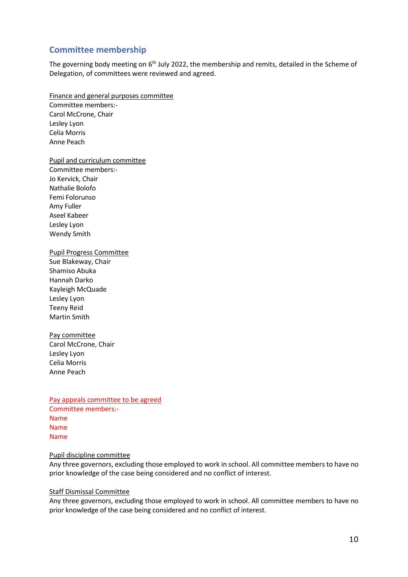# **Committee membership**

The governing body meeting on 6<sup>th</sup> July 2022, the membership and remits, detailed in the Scheme of Delegation, of committees were reviewed and agreed.

Finance and general purposes committee Committee members:- Carol McCrone, Chair Lesley Lyon Celia Morris Anne Peach

Pupil and curriculum committee

Committee members:- Jo Kervick, Chair Nathalie Bolofo Femi Folorunso Amy Fuller Aseel Kabeer Lesley Lyon Wendy Smith

#### Pupil Progress Committee

Sue Blakeway, Chair Shamiso Abuka Hannah Darko Kayleigh McQuade Lesley Lyon Teeny Reid Martin Smith

Pay committee Carol McCrone, Chair Lesley Lyon Celia Morris Anne Peach

Pay appeals committee to be agreed Committee members:- Name Name Name

#### Pupil discipline committee

Any three governors, excluding those employed to work in school. All committee members to have no prior knowledge of the case being considered and no conflict of interest.

#### Staff Dismissal Committee

Any three governors, excluding those employed to work in school. All committee members to have no prior knowledge of the case being considered and no conflict of interest.